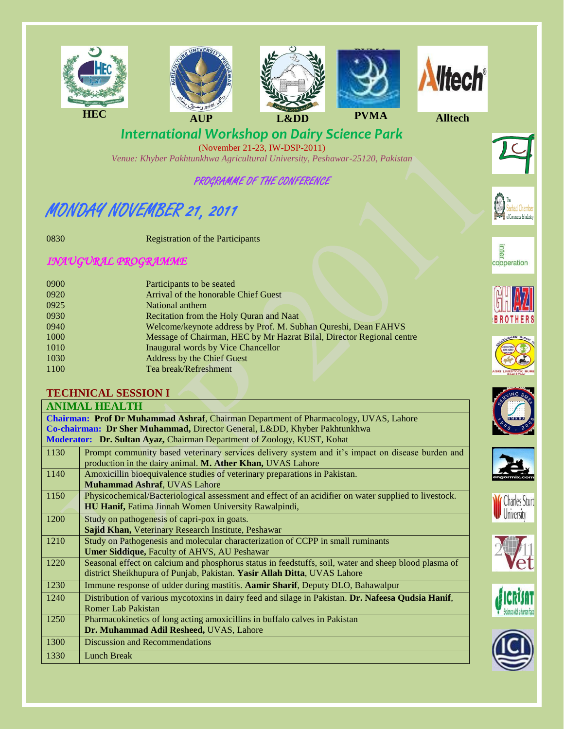



(November 21-23, IW-DSP-2011) *Venue: Khyber Pakhtunkhwa Agricultural University, Peshawar-25120, Pakistan*

## PROGRAMME OF THE CONFERENCE

# MONDAY NOVEMBER 21, 2011

0830 Registration of the Participants

## *INAUGURAL PROGRAMME*

| 0900 | Participants to be seated                                             |
|------|-----------------------------------------------------------------------|
| 0920 | Arrival of the honorable Chief Guest                                  |
| 0925 | National anthem                                                       |
| 0930 | Recitation from the Holy Quran and Naat                               |
| 0940 | Welcome/keynote address by Prof. M. Subhan Qureshi, Dean FAHVS        |
| 1000 | Message of Chairman, HEC by Mr Hazrat Bilal, Director Regional centre |
| 1010 | Inaugural words by Vice Chancellor                                    |
| 1030 | <b>Address by the Chief Guest</b>                                     |
| 1100 | Tea break/Refreshment                                                 |
|      |                                                                       |

#### **TECHNICAL SESSION I**

| <b>ANIMAL HEALTH</b>                                                                        |                                                                                                       |  |
|---------------------------------------------------------------------------------------------|-------------------------------------------------------------------------------------------------------|--|
| <b>Chairman: Prof Dr Muhammad Ashraf, Chairman Department of Pharmacology, UVAS, Lahore</b> |                                                                                                       |  |
| Co-chairman: Dr Sher Muhammad, Director General, Lⅅ, Khyber Pakhtunkhwa                     |                                                                                                       |  |
| Moderator: Dr. Sultan Ayaz, Chairman Department of Zoology, KUST, Kohat                     |                                                                                                       |  |
| 1130                                                                                        | Prompt community based veterinary services delivery system and it's impact on disease burden and      |  |
|                                                                                             | production in the dairy animal. M. Ather Khan, UVAS Lahore                                            |  |
| 1140                                                                                        | Amoxicillin bioequivalence studies of veterinary preparations in Pakistan.                            |  |
|                                                                                             | <b>Muhammad Ashraf, UVAS Lahore</b>                                                                   |  |
| 1150                                                                                        | Physicochemical/Bacteriological assessment and effect of an acidifier on water supplied to livestock. |  |
|                                                                                             | HU Hanif, Fatima Jinnah Women University Rawalpindi,                                                  |  |
| 1200                                                                                        | Study on pathogenesis of capri-pox in goats.                                                          |  |
|                                                                                             | Sajid Khan, Veterinary Research Institute, Peshawar                                                   |  |
| 1210                                                                                        | Study on Pathogenesis and molecular characterization of CCPP in small ruminants                       |  |
|                                                                                             | Umer Siddique, Faculty of AHVS, AU Peshawar                                                           |  |
| 1220                                                                                        | Seasonal effect on calcium and phosphorus status in feedstuffs, soil, water and sheep blood plasma of |  |
|                                                                                             | district Sheikhupura of Punjab, Pakistan. Yasir Allah Ditta, UVAS Lahore                              |  |
| 1230                                                                                        | Immune response of udder during mastitis. Aamir Sharif, Deputy DLO, Bahawalpur                        |  |
| 1240                                                                                        | Distribution of various mycotoxins in dairy feed and silage in Pakistan. Dr. Nafeesa Qudsia Hanif,    |  |
|                                                                                             | <b>Romer Lab Pakistan</b>                                                                             |  |
| 1250                                                                                        | Pharmacokinetics of long acting amoxicillins in buffalo calves in Pakistan                            |  |
|                                                                                             | Dr. Muhammad Adil Resheed, UVAS, Lahore                                                               |  |
| 1300                                                                                        | <b>Discussion and Recommendations</b>                                                                 |  |
| 1330                                                                                        | <b>Lunch Break</b>                                                                                    |  |





















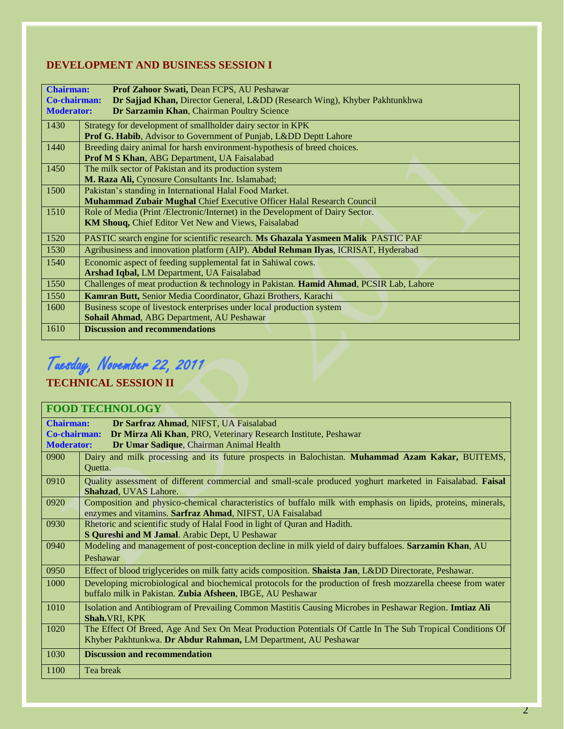#### **DEVELOPMENT AND BUSINESS SESSION I**

| <b>Chairman:</b><br>Prof Zahoor Swati, Dean FCPS, AU Peshawar                                   |                                                                                        |
|-------------------------------------------------------------------------------------------------|----------------------------------------------------------------------------------------|
| Dr Sajjad Khan, Director General, Lⅅ (Research Wing), Khyber Pakhtunkhwa<br><b>Co-chairman:</b> |                                                                                        |
| <b>Moderator:</b><br>Dr Sarzamin Khan, Chairman Poultry Science                                 |                                                                                        |
| 1430<br>Strategy for development of smallholder dairy sector in KPK                             |                                                                                        |
|                                                                                                 | Prof G. Habib, Advisor to Government of Punjab, Lⅅ Deptt Lahore                        |
|                                                                                                 |                                                                                        |
| 1440                                                                                            | Breeding dairy animal for harsh environment-hypothesis of breed choices.               |
|                                                                                                 | Prof M S Khan, ABG Department, UA Faisalabad                                           |
| 1450                                                                                            | The milk sector of Pakistan and its production system                                  |
|                                                                                                 | M. Raza Ali, Cynosure Consultants Inc. Islamabad;                                      |
| 1500                                                                                            | Pakistan's standing in International Halal Food Market.                                |
|                                                                                                 | Muhammad Zubair Mughal Chief Executive Officer Halal Research Council                  |
| 1510                                                                                            | Role of Media (Print /Electronic/Internet) in the Development of Dairy Sector.         |
|                                                                                                 | KM Shouq, Chief Editor Vet New and Views, Faisalabad                                   |
| 1520                                                                                            | PASTIC search engine for scientific research. Ms Ghazala Yasmeen Malik PASTIC PAF      |
| 1530                                                                                            | Agribusiness and innovation platform (AIP). Abdul Rehman Ilyas, ICRISAT, Hyderabad     |
| 1540                                                                                            | Economic aspect of feeding supplemental fat in Sahiwal cows.                           |
|                                                                                                 | <b>Arshad Iqbal, LM Department, UA Faisalabad</b>                                      |
| 1550                                                                                            | Challenges of meat production & technology in Pakistan. Hamid Ahmad, PCSIR Lab, Lahore |
| 1550                                                                                            | Kamran Butt, Senior Media Coordinator, Ghazi Brothers, Karachi                         |
| 1600                                                                                            | Business scope of livestock enterprises under local production system                  |
|                                                                                                 | Sohail Ahmad, ABG Department, AU Peshawar                                              |
| 1610                                                                                            | <b>Discussion and recommendations</b>                                                  |

# Tuesday, November 22, 2011

#### **TECHNICAL SESSION II**

#### **FOOD TECHNOLOGY Chairman: Dr Sarfraz Ahmad**, NIFST, UA Faisalabad **Co-chairman: Dr Mirza Ali Khan**, PRO, Veterinary Research Institute, Peshawar **Moderator: Dr Umar Sadique**, Chairman Animal Health 0900 Dairy and milk processing and its future prospects in Balochistan. **Muhammad Azam Kakar,** BUITEMS, Quetta. 0910 Quality assessment of different commercial and small-scale produced yoghurt marketed in Faisalabad. **Faisal Shahzad**, UVAS Lahore. 0920 Composition and physico-chemical characteristics of buffalo milk with emphasis on lipids, proteins, minerals, enzymes and vitamins. **Sarfraz Ahmad**, NIFST, UA Faisalabad 0930 Rhetoric and scientific study of Halal Food in light of Quran and Hadith. **S Qureshi and M Jamal**. Arabic Dept, U Peshawar 0940 Modeling and management of post-conception decline in milk yield of dairy buffaloes. **Sarzamin Khan**, AU Peshawar 0950 Effect of blood triglycerides on milk fatty acids composition. **Shaista Jan**, L&DD Directorate, Peshawar. 1000 Developing microbiological and biochemical protocols for the production of fresh mozzarella cheese from water buffalo milk in Pakistan. **Zubia Afsheen**, IBGE, AU Peshawar 1010 Isolation and Antibiogram of Prevailing Common Mastitis Causing Microbes in Peshawar Region. **Imtiaz Ali Shah.**VRI, KPK 1020 The Effect Of Breed, Age And Sex On Meat Production Potentials Of Cattle In The Sub Tropical Conditions Of Khyber Pakhtunkwa. **Dr Abdur Rahman,** LM Department, AU Peshawar 1030 **Discussion and recommendation** 1100 Tea break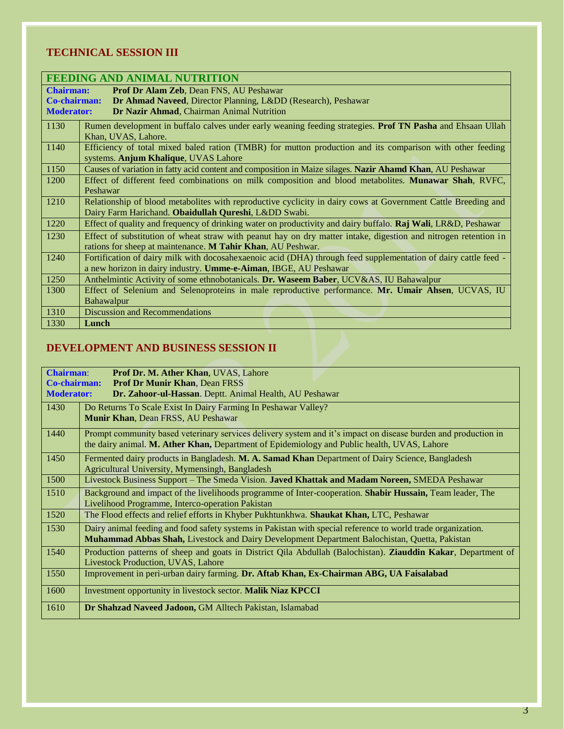### **TECHNICAL SESSION III**

| FEEDING AND ANIMAL NUTRITION                                                       |                                                                                                                 |  |
|------------------------------------------------------------------------------------|-----------------------------------------------------------------------------------------------------------------|--|
| Prof Dr Alam Zeb, Dean FNS, AU Peshawar<br><b>Chairman:</b>                        |                                                                                                                 |  |
| <b>Co-chairman:</b><br>Dr Ahmad Naveed, Director Planning, Lⅅ (Research), Peshawar |                                                                                                                 |  |
| Dr Nazir Ahmad, Chairman Animal Nutrition<br><b>Moderator:</b>                     |                                                                                                                 |  |
| 1130                                                                               | Rumen development in buffalo calves under early weaning feeding strategies. Prof TN Pasha and Ehsaan Ullah      |  |
|                                                                                    | Khan, UVAS, Lahore.                                                                                             |  |
| 1140                                                                               | Efficiency of total mixed baled ration (TMBR) for mutton production and its comparison with other feeding       |  |
|                                                                                    | systems. Anjum Khalique, UVAS Lahore                                                                            |  |
| 1150                                                                               | Causes of variation in fatty acid content and composition in Maize silages. Nazir Ahamd Khan, AU Peshawar       |  |
| 1200                                                                               | Effect of different feed combinations on milk composition and blood metabolites. Munawar Shah, RVFC,            |  |
|                                                                                    | Peshawar                                                                                                        |  |
| 1210                                                                               | Relationship of blood metabolites with reproductive cyclicity in dairy cows at Government Cattle Breeding and   |  |
|                                                                                    | Dairy Farm Harichand. Obaidullah Qureshi, Lⅅ Swabi.                                                             |  |
| 1220                                                                               | Effect of quality and frequency of drinking water on productivity and dairy buffalo. Raj Wali, LR&D, Peshawar   |  |
| 1230                                                                               | Effect of substitution of wheat straw with peanut hay on dry matter intake, digestion and nitrogen retention in |  |
|                                                                                    | rations for sheep at maintenance. M Tahir Khan, AU Peshwar.                                                     |  |
| 1240                                                                               | Fortification of dairy milk with docosahexaenoic acid (DHA) through feed supplementation of dairy cattle feed - |  |
|                                                                                    | a new horizon in dairy industry. Umme-e-Aiman, IBGE, AU Peshawar                                                |  |
| 1250                                                                               | Anthelmintic Activity of some ethnobotanicals. Dr. Waseem Baber, UCV&AS, IU Bahawalpur                          |  |
| 1300                                                                               | Effect of Selenium and Selenoproteins in male reproductive performance. Mr. Umair Ahsen, UCVAS, IU              |  |
|                                                                                    | Bahawalpur                                                                                                      |  |
| 1310                                                                               | <b>Discussion and Recommendations</b>                                                                           |  |
| 1330                                                                               | Lunch                                                                                                           |  |

### **DEVELOPMENT AND BUSINESS SESSION II**

| <b>Chairman:</b><br>Prof Dr. M. Ather Khan, UVAS, Lahore<br><b>Co-chairman:</b><br><b>Prof Dr Munir Khan, Dean FRSS</b> |                                                                                                                                                                                                               |  |
|-------------------------------------------------------------------------------------------------------------------------|---------------------------------------------------------------------------------------------------------------------------------------------------------------------------------------------------------------|--|
| <b>Moderator:</b><br>Dr. Zahoor-ul-Hassan. Deptt. Animal Health, AU Peshawar                                            |                                                                                                                                                                                                               |  |
| 1430                                                                                                                    | Do Returns To Scale Exist In Dairy Farming In Peshawar Valley?<br>Munir Khan, Dean FRSS, AU Peshawar                                                                                                          |  |
| 1440                                                                                                                    | Prompt community based veterinary services delivery system and it's impact on disease burden and production in<br>the dairy animal. M. Ather Khan, Department of Epidemiology and Public health, UVAS, Lahore |  |
| 1450                                                                                                                    | Fermented dairy products in Bangladesh. M. A. Samad Khan Department of Dairy Science, Bangladesh<br>Agricultural University, Mymensingh, Bangladesh                                                           |  |
| 1500                                                                                                                    | Livestock Business Support - The Smeda Vision. Javed Khattak and Madam Noreen, SMEDA Peshawar                                                                                                                 |  |
| 1510                                                                                                                    | Background and impact of the livelihoods programme of Inter-cooperation. Shabir Hussain, Team leader, The<br>Livelihood Programme, Interco-operation Pakistan                                                 |  |
| 1520                                                                                                                    | The Flood effects and relief efforts in Khyber Pukhtunkhwa. Shaukat Khan, LTC, Peshawar                                                                                                                       |  |
| 1530                                                                                                                    | Dairy animal feeding and food safety systems in Pakistan with special reference to world trade organization.<br>Muhammad Abbas Shah, Livestock and Dairy Development Department Balochistan, Quetta, Pakistan |  |
| 1540                                                                                                                    | Production patterns of sheep and goats in District Qila Abdullah (Balochistan). Ziauddin Kakar, Department of<br><b>Livestock Production, UVAS, Lahore</b>                                                    |  |
| 1550                                                                                                                    | Improvement in peri-urban dairy farming. Dr. Aftab Khan, Ex-Chairman ABG, UA Faisalabad                                                                                                                       |  |
| 1600                                                                                                                    | Investment opportunity in livestock sector. Malik Niaz KPCCI                                                                                                                                                  |  |
| 1610                                                                                                                    | Dr Shahzad Naveed Jadoon, GM Alltech Pakistan, Islamabad                                                                                                                                                      |  |